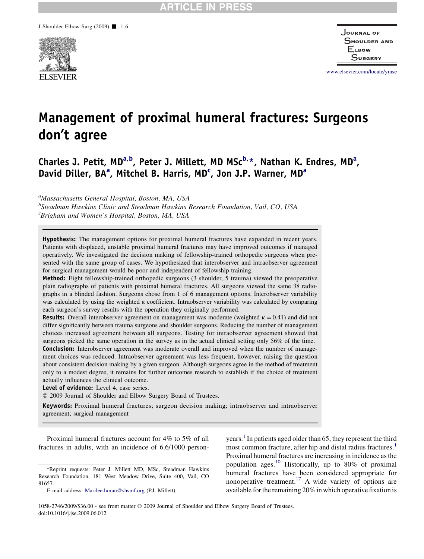

Journal of SHOULDER AND **ELBOW** Surgery

www.elsevier.com/locate/ymse

# Management of proximal humeral fractures: Surgeons don't agree

Charles J. Petit, MD<sup>a,b</sup>, Peter J. Millett, MD MSc<sup>b,</sup>\*, Nathan K. Endres, MD<sup>a</sup>, David Diller, BA<sup>a</sup>, Mitchel B. Harris, MD<sup>c</sup>, Jon J.P. Warner, MD<sup>a</sup>

<sup>a</sup>Massachusetts General Hospital, Boston, MA, USA

<sup>b</sup>Steadman Hawkins Clinic and Steadman Hawkins Research Foundation, Vail, CO, USA <sup>c</sup>Brigham and Women's Hospital, Boston, MA, USA

Hypothesis: The management options for proximal humeral fractures have expanded in recent years. Patients with displaced, unstable proximal humeral fractures may have improved outcomes if managed operatively. We investigated the decision making of fellowship-trained orthopedic surgeons when presented with the same group of cases. We hypothesized that interobserver and intraobserver agreement for surgical management would be poor and independent of fellowship training.

Method: Eight fellowship-trained orthopedic surgeons (3 shoulder, 5 trauma) viewed the preoperative plain radiographs of patients with proximal humeral fractures. All surgeons viewed the same 38 radiographs in a blinded fashion. Surgeons chose from 1 of 6 management options. Interobserver variability was calculated by using the weighted  $\kappa$  coefficient. Intraobserver variability was calculated by comparing each surgeon's survey results with the operation they originally performed.

**Results:** Overall interobserver agreement on management was moderate (weighted  $\kappa = 0.41$ ) and did not differ significantly between trauma surgeons and shoulder surgeons. Reducing the number of management choices increased agreement between all surgeons. Testing for intraobserver agreement showed that surgeons picked the same operation in the survey as in the actual clinical setting only 56% of the time. Conclusion: Interobserver agreement was moderate overall and improved when the number of management choices was reduced. Intraobserver agreement was less frequent, however, raising the question about consistent decision making by a given surgeon. Although surgeons agree in the method of treatment only to a modest degree, it remains for further outcomes research to establish if the choice of treatment actually influences the clinical outcome.

Level of evidence: Level 4, case series.

 $©$  2009 Journal of Shoulder and Elbow Surgery Board of Trustees.

Keywords: Proximal humeral fractures; surgeon decision making; intraobserver and intraobserver agreement; surgical management

Proximal humeral fractures account for 4% to 5% of all fractures in adults, with an incidence of 6.6/1000 personyears.<sup>[1](#page-4-0)</sup> In patients aged older than 65, they represent the third most common fracture, after hip and distal radius fractures.<sup>[1](#page-4-0)</sup> Proximal humeral fractures are increasing in incidence as the population ages.<sup>[10](#page-5-0)</sup> Historically, up to 80% of proximal humeral fractures have been considered appropriate for nonoperative treatment.<sup>17</sup> A wide variety of options are available for the remaining 20% in which operative fixation is

1058-2746/2009/\$36.00 - see front matter  $\odot$  2009 Journal of Shoulder and Elbow Surgery Board of Trustees. doi:10.1016/j.jse.2009.06.012

<sup>\*</sup>Reprint requests: Peter J. Millett MD, MSc, Steadman Hawkins Research Foundation, 181 West Meadow Drive, Suite 400, Vail, CO 81657.

E-mail address: [Marilee.horan@shsmf.org](mailto:Marilee.horan@shsmf.org) (P.J. Millett).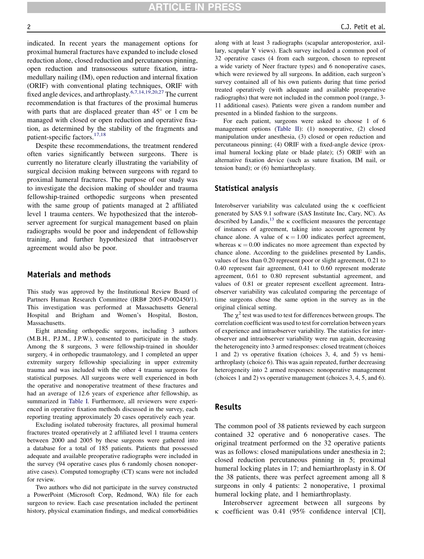**RTICLE IN PRESS** 

indicated. In recent years the management options for proximal humeral fractures have expanded to include closed reduction alone, closed reduction and percutaneous pinning, open reduction and transosseous suture fixation, intramedullary nailing (IM), open reduction and internal fixation (ORIF) with conventional plating techniques, ORIF with fixed angle devices, and arthroplasty.[6,7,14,19,20,27](#page-4-0) The current recommendation is that fractures of the proximal humerus with parts that are displaced greater than  $45^{\circ}$  or 1 cm be managed with closed or open reduction and operative fixation, as determined by the stability of the fragments and patient-specific factors.<sup>[17,18](#page-5-0)</sup>

Despite these recommendations, the treatment rendered often varies significantly between surgeons. There is currently no literature clearly illustrating the variability of surgical decision making between surgeons with regard to proximal humeral fractures. The purpose of our study was to investigate the decision making of shoulder and trauma fellowship-trained orthopedic surgeons when presented with the same group of patients managed at 2 affiliated level 1 trauma centers. We hypothesized that the interobserver agreement for surgical management based on plain radiographs would be poor and independent of fellowship training, and further hypothesized that intraobserver agreement would also be poor.

# Materials and methods

This study was approved by the Institutional Review Board of Partners Human Research Committee (IRB# 2005-P-002450/1). This investigation was performed at Massachusetts General Hospital and Brigham and Women's Hospital, Boston, Massachusetts.

Eight attending orthopedic surgeons, including 3 authors (M.B.H., P.J.M., J.P.W.), consented to participate in the study. Among the 8 surgeons, 3 were fellowship-trained in shoulder surgery, 4 in orthopedic traumatology, and 1 completed an upper extremity surgery fellowship specializing in upper extremity trauma and was included with the other 4 trauma surgeons for statistical purposes. All surgeons were well experienced in both the operative and nonoperative treatment of these fractures and had an average of 12.6 years of experience after fellowship, as summarized in [Table I.](#page-2-0) Furthermore, all reviewers were experienced in operative fixation methods discussed in the survey, each reporting treating approximately 20 cases operatively each year.

Excluding isolated tuberosity fractures, all proximal humeral fractures treated operatively at 2 affiliated level 1 trauma centers between 2000 and 2005 by these surgeons were gathered into a database for a total of 185 patients. Patients that possessed adequate and available preoperative radiographs were included in the survey (94 operative cases plus 6 randomly chosen nonoperative cases). Computed tomography (CT) scans were not included for review.

Two authors who did not participate in the survey constructed a PowerPoint (Microsoft Corp, Redmond, WA) file for each surgeon to review. Each case presentation included the pertinent history, physical examination findings, and medical comorbidities along with at least 3 radiographs (scapular anteroposterior, axillary, scapular Y views). Each survey included a common pool of 32 operative cases (4 from each surgeon, chosen to represent a wide variety of Neer fracture types) and 6 nonoperative cases, which were reviewed by all surgeons. In addition, each surgeon's survey contained all of his own patients during that time period treated operatively (with adequate and available preoperative radiographs) that were not included in the common pool (range, 3- 11 additional cases). Patients were given a random number and presented in a blinded fashion to the surgeons.

For each patient, surgeons were asked to choose 1 of 6 management options ([Table II](#page-2-0)): (1) nonoperative, (2) closed manipulation under anesthesia, (3) closed or open reduction and percutaneous pinning; (4) ORIF with a fixed-angle device (proximal humeral locking plate or blade plate); (5) ORIF with an alternative fixation device (such as suture fixation, IM nail, or tension band); or (6) hemiarthroplasty.

#### Statistical analysis

Interobserver variability was calculated using the  $\kappa$  coefficient generated by SAS 9.1 software (SAS Institute Inc, Cary, NC). As described by Landis, $^{13}$  $^{13}$  $^{13}$  the  $\kappa$  coefficient measures the percentage of instances of agreement, taking into account agreement by chance alone. A value of  $\kappa = 1.00$  indicates perfect agreement, whereas  $\kappa = 0.00$  indicates no more agreement than expected by chance alone. According to the guidelines presented by Landis, values of less than 0.20 represent poor or slight agreement, 0.21 to 0.40 represent fair agreement, 0.41 to 0.60 represent moderate agreement, 0.61 to 0.80 represent substantial agreement, and values of 0.81 or greater represent excellent agreement. Intraobserver variability was calculated comparing the percentage of time surgeons chose the same option in the survey as in the original clinical setting.

The  $\chi^2$  test was used to test for differences between groups. The correlation coefficient was used to test for correlation between years of experience and intraobserver variability. The statistics for interobserver and intraobserver variability were run again, decreasing the heterogeneity into 3 armed responses: closed treatment (choices 1 and 2) vs operative fixation (choices 3, 4, and 5) vs hemiarthroplasty (choice 6). This was again repeated, further decreasing heterogeneity into 2 armed responses: nonoperative management (choices 1 and 2) vs operative management (choices 3, 4, 5, and 6).

# Results

The common pool of 38 patients reviewed by each surgeon contained 32 operative and 6 nonoperative cases. The original treatment performed on the 32 operative patients was as follows: closed manipulations under anesthesia in 2; closed reduction percutaneous pinning in 5; proximal humeral locking plates in 17; and hemiarthroplasty in 8. Of the 38 patients, there was perfect agreement among all 8 surgeons in only 4 patients: 2 nonoperative, 1 proximal humeral locking plate, and 1 hemiarthroplasty.

Interobserver agreement between all surgeons by k coefficient was 0.41 (95% confidence interval [CI],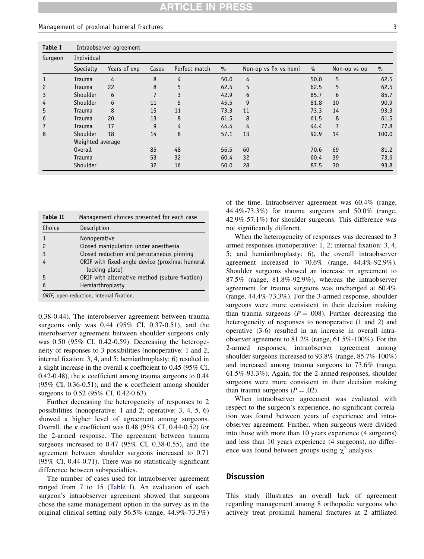#### <span id="page-2-0"></span>Management of proximal humeral fractures 3

| <b>Table I</b> | Intraobserver agreement |              |       |               |      |                       |      |                |       |  |
|----------------|-------------------------|--------------|-------|---------------|------|-----------------------|------|----------------|-------|--|
| Surgeon        | Individual              |              |       |               |      |                       |      |                |       |  |
|                | Specialty               | Years of exp | Cases | Perfect match | $\%$ | Non-op vs fix vs hemi | $\%$ | Non-op vs op   | $\%$  |  |
|                | Trauma                  | 4            | 8     | 4             | 50.0 | 4                     | 50.0 | 5              | 62.5  |  |
| $\overline{c}$ | Trauma                  | 22           | 8     | 5             | 62.5 | 5                     | 62.5 | 5              | 62.5  |  |
| 3              | Shoulder                | 6            |       | 3             | 42.9 | 6                     | 85.7 | 6              | 85.7  |  |
| 4              | Shoulder                | 6            | 11    | 5             | 45.5 | 9                     | 81.8 | 10             | 90.9  |  |
| 5              | Trauma                  | 8            | 15    | 11            | 73.3 | 11                    | 73.3 | 14             | 93.3  |  |
| 6              | Trauma                  | 20           | 13    | 8             | 61.5 | 8                     | 61.5 | 8              | 61.5  |  |
| $\overline{7}$ | Trauma                  | 17           | 9     | 4             | 44.4 | 4                     | 44.4 | $\overline{7}$ | 77.8  |  |
| 8              | Shoulder                | 18           | 14    | 8             | 57.1 | 13                    | 92.9 | 14             | 100.0 |  |
|                | Weighted average        |              |       |               |      |                       |      |                |       |  |
|                | <b>Overall</b>          |              | 85    | 48            | 56.5 | 60                    | 70.6 | 69             | 81.2  |  |
|                | Trauma                  |              | 53    | 32            | 60.4 | 32                    | 60.4 | 39             | 73.6  |  |
|                | Shoulder                |              | 32    | 16            | 50.0 | 28                    | 87.5 | 30             | 93.8  |  |

| <b>Table II</b> | Management choices presented for each case     |  |  |
|-----------------|------------------------------------------------|--|--|
| Choice          | Description                                    |  |  |
|                 | Nonoperative                                   |  |  |
| 2               | Closed manipulation under anesthesia           |  |  |
| 3               | Closed reduction and percutaneous pinning      |  |  |
|                 | ORIF with fixed-angle device (proximal humeral |  |  |
|                 | locking plate)                                 |  |  |
| 5               | ORIF with alternative method (suture fixation) |  |  |
|                 | Hemiarthroplasty                               |  |  |
|                 |                                                |  |  |

ORIF, open reduction, internal fixation.

0.38-0.44). The interobserver agreement between trauma surgeons only was 0.44 (95% CI, 0.37-0.51), and the interobserver agreement between shoulder surgeons only was 0.50 (95% CI, 0.42-0.59). Decreasing the heterogeneity of responses to 3 possibilities (nonoperative: 1 and 2; internal fixation: 3, 4, and 5; hemiarthroplasty: 6) resulted in a slight increase in the overall  $\kappa$  coefficient to 0.45 (95% CI, 0.42-0.48), the  $\kappa$  coefficient among trauma surgeons to 0.44 (95% CI, 0.36-0.51), and the  $\kappa$  coefficient among shoulder surgeons to 0.52 (95% CI, 0.42-0.63).

Further decreasing the heterogeneity of responses to 2 possibilities (nonoperative: 1 and 2; operative: 3, 4, 5, 6) showed a higher level of agreement among surgeons. Overall, the  $\kappa$  coefficient was 0.48 (95% CI, 0.44-0.52) for the 2-armed response. The agreement between trauma surgeons increased to 0.47 (95% CI, 0.38-0.55), and the agreement between shoulder surgeons increased to 0.71 (95% CI, 0.44-0.71). There was no statistically significant difference between subspecialties.

The number of cases used for intraobserver agreement ranged from 7 to 15 (Table I). An evaluation of each surgeon's intraobserver agreement showed that surgeons chose the same management option in the survey as in the original clinical setting only 56.5% (range, 44.9%-73.3%) of the time. Intraobserver agreement was 60.4% (range, 44.4%-73.3%) for trauma surgeons and 50.0% (range, 42.9%-57.1%) for shoulder surgeons. This difference was not significantly different.

When the heterogeneity of responses was decreased to 3 armed responses (nonoperative: 1, 2; internal fixation: 3, 4, 5; and hemiarthroplasty: 6), the overall intraobserver agreement increased to 70.6% (range, 44.4%-92.9%). Shoulder surgeons showed an increase in agreement to 87.5% (range, 81.8%-92.9%), whereas the intraobserver agreement for trauma surgeons was unchanged at 60.4% (range, 44.4%-73.3%). For the 3-armed response, shoulder surgeons were more consistent in their decision making than trauma surgeons ( $P = .008$ ). Further decreasing the heterogeneity of responses to nonoperative (1 and 2) and operative (3-6) resulted in an increase in overall intraobserver agreement to 81.2% (range, 61.5%-100%). For the 2-armed responses, intraobserver agreement among shoulder surgeons increased to 93.8% (range, 85.7%-100%) and increased among trauma surgeons to 73.6% (range, 61.5%-93.3%). Again, for the 2-armed responses, shoulder surgeons were more consistent in their decision making than trauma surgeons  $(P = .02)$ .

When intraobserver agreement was evaluated with respect to the surgeon's experience, no significant correlation was found between years of experience and intraobserver agreement. Further, when surgeons were divided into those with more than 10 years experience (4 surgeons) and less than 10 years experience (4 surgeons), no difference was found between groups using  $\chi^2$  analysis.

# **Discussion**

This study illustrates an overall lack of agreement regarding management among 8 orthopedic surgeons who actively treat proximal humeral fractures at 2 affiliated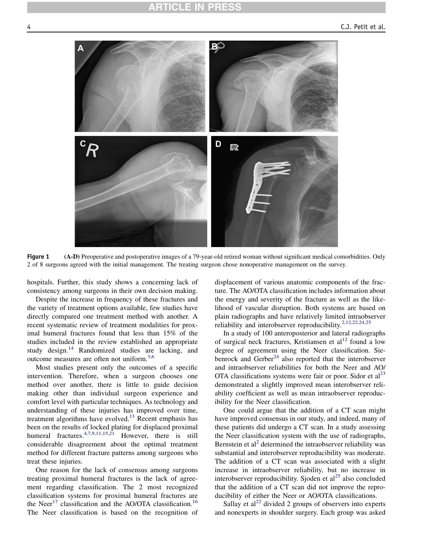<span id="page-3-0"></span>

Figure 1 (A-D) Preoperative and postoperative images of a 79-year-old retired woman without significant medical comorbidities. Only 2 of 8 surgeons agreed with the initial management. The treating surgeon chose nonoperative management on the survey.

hospitals. Further, this study shows a concerning lack of consistency among surgeons in their own decision making.

Despite the increase in frequency of these fractures and the variety of treatment options available, few studies have directly compared one treatment method with another. A recent systematic review of treatment modalities for proximal humeral fractures found that less than 15% of the studies included in the review established an appropriate study design.[14](#page-5-0) Randomized studies are lacking, and outcome measures are often not uniform.[3,6](#page-4-0)

Most studies present only the outcomes of a specific intervention. Therefore, when a surgeon chooses one method over another, there is little to guide decision making other than individual surgeon experience and comfort level with particular techniques. As technology and understanding of these injuries has improved over time, treatment algorithms have evolved.<sup>[13](#page-5-0)</sup> Recent emphasis has been on the results of locked plating for displaced proximal humeral fractures.<sup>[4,7,9,11,15,21](#page-4-0)</sup> However, there is still considerable disagreement about the optimal treatment method for different fracture patterns among surgeons who treat these injuries.

One reason for the lack of consensus among surgeons treating proximal humeral fractures is the lack of agreement regarding classification. The 2 most recognized classification systems for proximal humeral fractures are the Neer<sup>[17](#page-5-0)</sup> classification and the AO/OTA classification.<sup>[16](#page-5-0)</sup> The Neer classification is based on the recognition of displacement of various anatomic components of the fracture. The AO/OTA classification includes information about the energy and severity of the fracture as well as the likelihood of vascular disruption. Both systems are based on plain radiographs and have relatively limited intraobserver reliability and interobserver reproducibility.[2,12,22,24,25](#page-4-0)

In a study of 100 anteroposterior and lateral radiographs of surgical neck fractures, Kristiansen et al<sup>[12](#page-5-0)</sup> found a low degree of agreement using the Neer classification. Siebenrock and  $Gerber<sup>24</sup>$  $Gerber<sup>24</sup>$  $Gerber<sup>24</sup>$  also reported that the interobserver and intraobserver reliabilities for both the Neer and AO/ OTA classifications systems were fair or poor. Sidor et  $al<sup>23</sup>$  $al<sup>23</sup>$  $al<sup>23</sup>$ demonstrated a slightly improved mean interobserver reliability coefficient as well as mean intraobserver reproducibility for the Neer classification.

One could argue that the addition of a CT scan might have improved consensus in our study, and indeed, many of these patients did undergo a CT scan. In a study assessing the Neer classification system with the use of radiographs, Bernstein et al<sup>[2](#page-4-0)</sup> determined the intraobserver reliability was substantial and interobserver reproducibility was moderate. The addition of a CT scan was associated with a slight increase in intraobserver reliability, but no increase in interobserver reproducibility. Sjoden et al<sup>25</sup> also concluded that the addition of a CT scan did not improve the reproducibility of either the Neer or AO/OTA classifications.

Sallay et  $al^{22}$  $al^{22}$  $al^{22}$  divided 2 groups of observers into experts and nonexperts in shoulder surgery. Each group was asked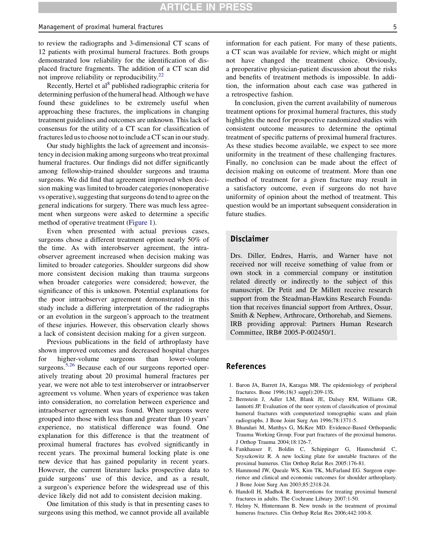#### <span id="page-4-0"></span>Management of proximal humeral fractures 5

to review the radiographs and 3-dimensional CT scans of 12 patients with proximal humeral fractures. Both groups demonstrated low reliability for the identification of displaced fracture fragments. The addition of a CT scan did not improve reliability or reproducibility.<sup>[22](#page-5-0)</sup>

Recently, Hertel et  $al<sup>8</sup>$  published radiographic criteria for determining perfusion of the humeral head. Although we have found these guidelines to be extremely useful when approaching these fractures, the implications in changing treatment guidelines and outcomes are unknown. This lack of consensus for the utility of a CT scan for classification of fractures led us to choose not to include a CT scan in our study.

Our study highlights the lack of agreement and inconsistency in decision making among surgeons who treat proximal humeral fractures. Our findings did not differ significantly among fellowship-trained shoulder surgeons and trauma surgeons. We did find that agreement improved when decision making was limited to broader categories (nonoperative vs operative), suggesting that surgeons do tend to agree on the general indications for surgery. There was much less agreement when surgeons were asked to determine a specific method of operative treatment [\(Figure 1](#page-3-0)).

Even when presented with actual previous cases, surgeons chose a different treatment option nearly 50% of the time. As with interobserver agreement, the intraobserver agreement increased when decision making was limited to broader categories. Shoulder surgeons did show more consistent decision making than trauma surgeons when broader categories were considered; however, the significance of this is unknown. Potential explanations for the poor intraobserver agreement demonstrated in this study include a differing interpretation of the radiographs or an evolution in the surgeon's approach to the treatment of these injuries. However, this observation clearly shows a lack of consistent decision making for a given surgeon.

Previous publications in the field of arthroplasty have shown improved outcomes and decreased hospital charges for higher-volume surgeons than lower-volume surgeons.<sup>5,26</sup> Because each of our surgeons reported operatively treating about 20 proximal humeral fractures per year, we were not able to test interobserver or intraobserver agreement vs volume. When years of experience was taken into consideration, no correlation between experience and intraobserver agreement was found. When surgeons were grouped into those with less than and greater than 10 years' experience, no statistical difference was found. One explanation for this difference is that the treatment of proximal humeral fractures has evolved significantly in recent years. The proximal humeral locking plate is one new device that has gained popularity in recent years. However, the current literature lacks prospective data to guide surgeons' use of this device, and as a result, a surgeon's experience before the widespread use of this device likely did not add to consistent decision making.

One limitation of this study is that in presenting cases to surgeons using this method, we cannot provide all available information for each patient. For many of these patients, a CT scan was available for review, which might or might not have changed the treatment choice. Obviously, a preoperative physician-patient discussion about the risks and benefits of treatment methods is impossible. In addition, the information about each case was gathered in a retrospective fashion.

In conclusion, given the current availability of numerous treatment options for proximal humeral fractures, this study highlights the need for prospective randomized studies with consistent outcome measures to determine the optimal treatment of specific patterns of proximal humeral fractures. As these studies become available, we expect to see more uniformity in the treatment of these challenging fractures. Finally, no conclusion can be made about the effect of decision making on outcome of treatment. More than one method of treatment for a given fracture may result in a satisfactory outcome, even if surgeons do not have uniformity of opinion about the method of treatment. This question would be an important subsequent consideration in future studies.

## Disclaimer

Drs. Diller, Endres, Harris, and Warner have not received nor will receive something of value from or own stock in a commercial company or institution related directly or indirectly to the subject of this manuscript. Dr Petit and Dr Millett receive research support from the Steadman-Hawkins Research Foundation that receives financial support from Arthrex, Ossur, Smith & Nephew, Arthrocare, Orthorehab, and Siemens. IRB providing approval: Partners Human Research Committee, IRB# 2005-P-002450/1.

### References

- 1. Baron JA, Barrett JA, Karagas MR. The epidemiology of peripheral fractures. Bone 1996;18(3 suppl):209-13S.
- 2. Bernstein J, Adler LM, Blank JE, Dalsey RM, Williams GR, Iannotti JP. Evaluation of the neer system of classification of proximal humeral fractures with computerized tomographic scans and plain radiographs. J Bone Joint Surg Am 1996;78:1371-5.
- 3. Bhandari M, Matthys G, McKee MD. Evidence-Based Orthopaedic Trauma Working Group. Four part fractures of the proximal humerus. J Orthop Trauma 2004;18:126-7.
- 4. Fankhauser F, Boldin C, Schippinger G, Haunschmid C, Szyszkowitz R. A new locking plate for unstable fractures of the proximal humerus. Clin Orthop Relat Res 2005:176-81.
- 5. Hammond JW, Queale WS, Kim TK, McFarland EG. Surgeon experience and clinical and economic outcomes for shoulder arthroplasty. J Bone Joint Surg Am 2003;85:2318-24.
- 6. Handoll H, Madhok R. Interventions for treating proximal humeral fractures in adults. The Cochrane Library 2007:1-50.
- 7. Helmy N, Hintermann B. New trends in the treatment of proximal humerus fractures. Clin Orthop Relat Res 2006;442:100-8.